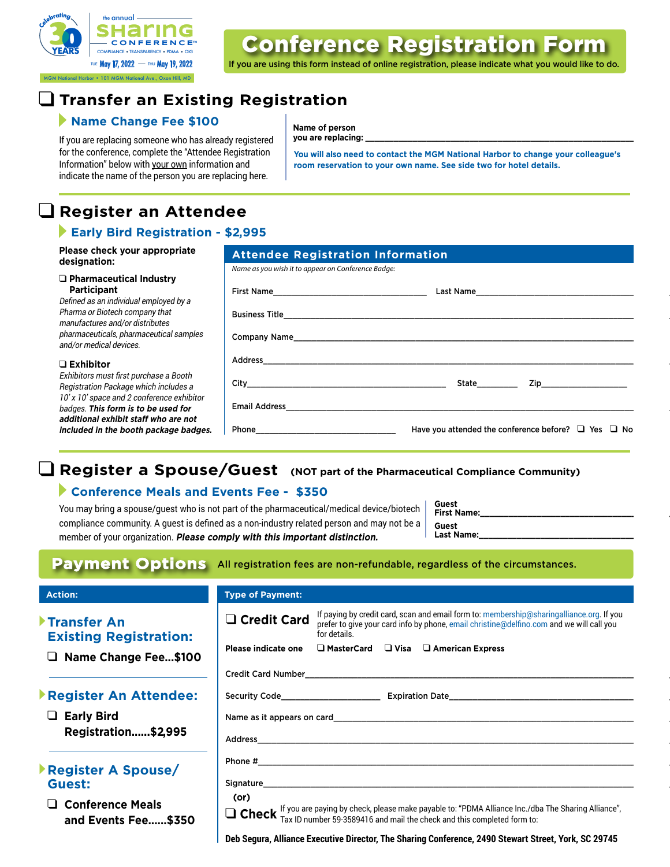

MGM National Harbor • 101 MGM National Ave., Oxon Hill, MD

# Conference Registration Form

If you are using this form instead of online registration, please indicate what you would like to do.

## q **Transfer an Existing Registration**

# **Name Change Fee \$100** Name of person

If you are replacing someone who has already registered **you are replacing:** for the conference, complete the "Attendee Registration Information" below with your own information and indicate the name of the person you are replacing here.

**You will also need to contact the MGM National Harbor to change your colleague's room reservation to your own name. See side two for hotel details.**

## q **Register an Attendee**

#### **Early Bird Registration - \$2,995**

| Please check your appropriate<br>designation:                                     | <b>Attendee Registration Information</b>                                                                                                                                                                                            |  |                                                               |  |
|-----------------------------------------------------------------------------------|-------------------------------------------------------------------------------------------------------------------------------------------------------------------------------------------------------------------------------------|--|---------------------------------------------------------------|--|
|                                                                                   | Name as you wish it to appear on Conference Badge:                                                                                                                                                                                  |  |                                                               |  |
| □ Pharmaceutical Industry<br>Participant                                          |                                                                                                                                                                                                                                     |  |                                                               |  |
| Defined as an individual employed by a<br>Pharma or Biotech company that          |                                                                                                                                                                                                                                     |  |                                                               |  |
| manufactures and/or distributes<br>pharmaceuticals, pharmaceutical samples        |                                                                                                                                                                                                                                     |  |                                                               |  |
| and/or medical devices.                                                           |                                                                                                                                                                                                                                     |  |                                                               |  |
| $\Box$ Exhibitor                                                                  |                                                                                                                                                                                                                                     |  |                                                               |  |
| Exhibitors must first purchase a Booth<br>Registration Package which includes a   | City <b>City</b> the contract of the contract of the contract of the contract of the contract of the contract of the contract of the contract of the contract of the contract of the contract of the contract of the contract of th |  | State Zip                                                     |  |
| 10' x 10' space and 2 conference exhibitor<br>badges. This form is to be used for |                                                                                                                                                                                                                                     |  |                                                               |  |
| additional exhibit staff who are not<br>included in the booth package badges.     | Phone that the contract of the contract of the contract of the contract of the contract of the contract of the                                                                                                                      |  | Have you attended the conference before? $\Box$ Yes $\Box$ No |  |

# **Q** Register a Spouse/Guest (NOT part of the Pharmaceutical Compliance Community)

### **Conference Meals and Events Fee - \$350**

You may bring a spouse/guest who is not part of the pharmaceutical/medical device/biotech compliance community. A guest is defined as a non-industry related person and may not be a member of your organization. **Please comply with this important distinction.** 

| Guest<br><b>First Name:</b> |  |
|-----------------------------|--|
| Guest<br><b>Last Name:</b>  |  |

## Payment Options All registration fees are non-refundable, regardless of the circumstances.

#### **Action:** Type of Payment: **Type of Payment:**

#### **Transfer An Existing Registration:**

q **Name Change Fee...\$100**

#### **Register An Attendee:**

q **Early Bird Registration......\$2,995**

#### **Register A Spouse/ Guest:**

q **Conference Meals and Events Fee......\$350**

| <b>Type of Payment:</b>    |                                                       |                                                                                                                                                                                                                                      |
|----------------------------|-------------------------------------------------------|--------------------------------------------------------------------------------------------------------------------------------------------------------------------------------------------------------------------------------------|
| □ Credit Card              | for details.                                          | If paying by credit card, scan and email form to: membership@sharingalliance.org. If you<br>prefer to give your card info by phone, email christine@delfino.com and we will call you                                                 |
| <b>Please indicate one</b> | $\Box$ MasterCard $\Box$ Visa $\Box$ American Express |                                                                                                                                                                                                                                      |
|                            |                                                       |                                                                                                                                                                                                                                      |
|                            |                                                       |                                                                                                                                                                                                                                      |
|                            |                                                       | Name as it appears on card <b>the contract of the contract of the contract of the contract of the contract of the contract of the contract of the contract of the contract of the contract of the contract of the contract of th</b> |
|                            |                                                       |                                                                                                                                                                                                                                      |
|                            |                                                       |                                                                                                                                                                                                                                      |
|                            |                                                       | Signature and the state of the state of the state of the state of the state of the state of the state of the state of the state of the state of the state of the state of the state of the state of the state of the state of        |
| (or)                       |                                                       |                                                                                                                                                                                                                                      |
|                            |                                                       | $\Box$ Check If you are paying by check, please make payable to: "PDMA Alliance Inc./dba The Sharing Alliance", $\Box$ Check $T_{\text{ax ID number 59-3589416}}$ and mail the check and this completed form to:                     |

**Deb Segura, Alliance Executive Director, The Sharing Conference, 2490 Stewart Street, York, SC 29745**